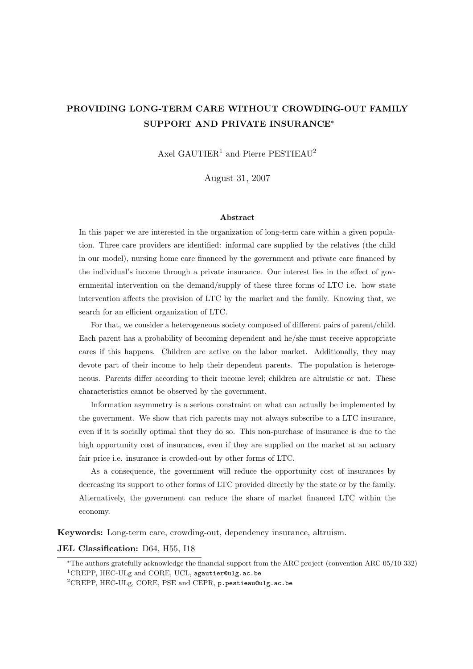# PROVIDING LONG-TERM CARE WITHOUT CROWDING-OUT FAMILY SUPPORT AND PRIVATE INSURANCE<sup>∗</sup>

Axel GAUTIER<sup>1</sup> and Pierre PESTIEAU<sup>2</sup>

August 31, 2007

#### Abstract

In this paper we are interested in the organization of long-term care within a given population. Three care providers are identified: informal care supplied by the relatives (the child in our model), nursing home care financed by the government and private care financed by the individual's income through a private insurance. Our interest lies in the effect of governmental intervention on the demand/supply of these three forms of LTC i.e. how state intervention affects the provision of LTC by the market and the family. Knowing that, we search for an efficient organization of LTC.

For that, we consider a heterogeneous society composed of different pairs of parent/child. Each parent has a probability of becoming dependent and he/she must receive appropriate cares if this happens. Children are active on the labor market. Additionally, they may devote part of their income to help their dependent parents. The population is heterogeneous. Parents differ according to their income level; children are altruistic or not. These characteristics cannot be observed by the government.

Information asymmetry is a serious constraint on what can actually be implemented by the government. We show that rich parents may not always subscribe to a LTC insurance, even if it is socially optimal that they do so. This non-purchase of insurance is due to the high opportunity cost of insurances, even if they are supplied on the market at an actuary fair price i.e. insurance is crowded-out by other forms of LTC.

As a consequence, the government will reduce the opportunity cost of insurances by decreasing its support to other forms of LTC provided directly by the state or by the family. Alternatively, the government can reduce the share of market financed LTC within the economy.

Keywords: Long-term care, crowding-out, dependency insurance, altruism.

#### JEL Classification: D64, H55, I18

<sup>∗</sup>The authors gratefully acknowledge the financial support from the ARC project (convention ARC 05/10-332) <sup>1</sup>CREPP, HEC-ULg and CORE, UCL, agautier@ulg.ac.be

<sup>2</sup>CREPP, HEC-ULg, CORE, PSE and CEPR, p.pestieau@ulg.ac.be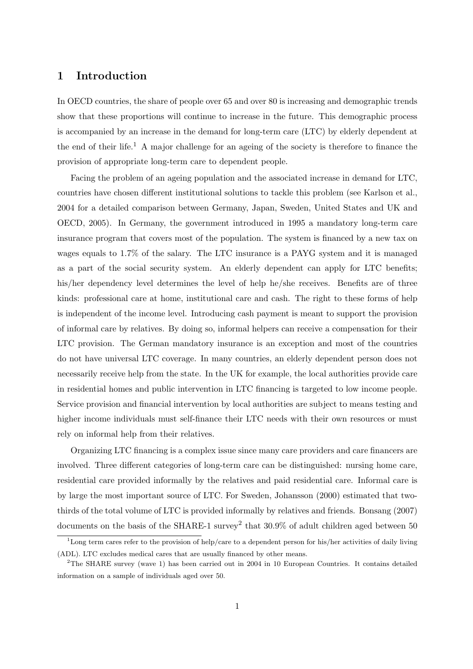## 1 Introduction

In OECD countries, the share of people over 65 and over 80 is increasing and demographic trends show that these proportions will continue to increase in the future. This demographic process is accompanied by an increase in the demand for long-term care (LTC) by elderly dependent at the end of their life.<sup>1</sup> A major challenge for an ageing of the society is therefore to finance the provision of appropriate long-term care to dependent people.

Facing the problem of an ageing population and the associated increase in demand for LTC, countries have chosen different institutional solutions to tackle this problem (see Karlson et al., 2004 for a detailed comparison between Germany, Japan, Sweden, United States and UK and OECD, 2005). In Germany, the government introduced in 1995 a mandatory long-term care insurance program that covers most of the population. The system is financed by a new tax on wages equals to 1.7% of the salary. The LTC insurance is a PAYG system and it is managed as a part of the social security system. An elderly dependent can apply for LTC benefits; his/her dependency level determines the level of help he/she receives. Benefits are of three kinds: professional care at home, institutional care and cash. The right to these forms of help is independent of the income level. Introducing cash payment is meant to support the provision of informal care by relatives. By doing so, informal helpers can receive a compensation for their LTC provision. The German mandatory insurance is an exception and most of the countries do not have universal LTC coverage. In many countries, an elderly dependent person does not necessarily receive help from the state. In the UK for example, the local authorities provide care in residential homes and public intervention in LTC financing is targeted to low income people. Service provision and financial intervention by local authorities are subject to means testing and higher income individuals must self-finance their LTC needs with their own resources or must rely on informal help from their relatives.

Organizing LTC financing is a complex issue since many care providers and care financers are involved. Three different categories of long-term care can be distinguished: nursing home care, residential care provided informally by the relatives and paid residential care. Informal care is by large the most important source of LTC. For Sweden, Johansson (2000) estimated that twothirds of the total volume of LTC is provided informally by relatives and friends. Bonsang (2007) documents on the basis of the SHARE-1 survey<sup>2</sup> that  $30.9\%$  of adult children aged between 50

<sup>&</sup>lt;sup>1</sup>Long term cares refer to the provision of help/care to a dependent person for his/her activities of daily living (ADL). LTC excludes medical cares that are usually financed by other means.

<sup>2</sup>The SHARE survey (wave 1) has been carried out in 2004 in 10 European Countries. It contains detailed information on a sample of individuals aged over 50.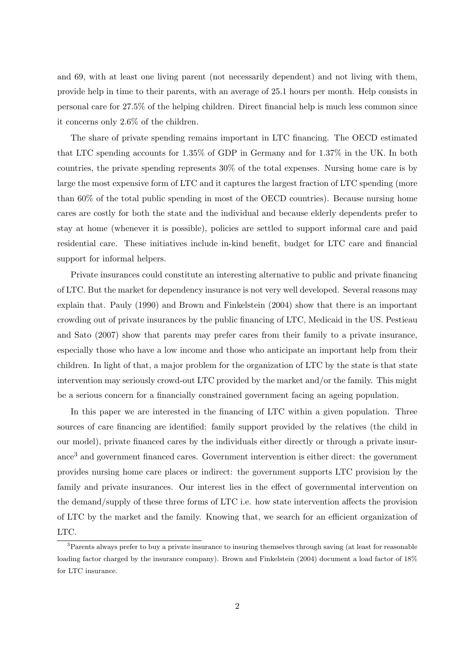and 69, with at least one living parent (not necessarily dependent) and not living with them, provide help in time to their parents, with an average of 25.1 hours per month. Help consists in personal care for 27.5% of the helping children. Direct financial help is much less common since it concerns only 2.6% of the children.

The share of private spending remains important in LTC financing. The OECD estimated that LTC spending accounts for 1.35% of GDP in Germany and for 1.37% in the UK. In both countries, the private spending represents 30% of the total expenses. Nursing home care is by large the most expensive form of LTC and it captures the largest fraction of LTC spending (more than 60% of the total public spending in most of the OECD countries). Because nursing home cares are costly for both the state and the individual and because elderly dependents prefer to stay at home (whenever it is possible), policies are settled to support informal care and paid residential care. These initiatives include in-kind benefit, budget for LTC care and financial support for informal helpers.

Private insurances could constitute an interesting alternative to public and private financing of LTC. But the market for dependency insurance is not very well developed. Several reasons may explain that. Pauly (1990) and Brown and Finkelstein (2004) show that there is an important crowding out of private insurances by the public financing of LTC, Medicaid in the US. Pestieau and Sato (2007) show that parents may prefer cares from their family to a private insurance, especially those who have a low income and those who anticipate an important help from their children. In light of that, a major problem for the organization of LTC by the state is that state intervention may seriously crowd-out LTC provided by the market and/or the family. This might be a serious concern for a financially constrained government facing an ageing population.

In this paper we are interested in the financing of LTC within a given population. Three sources of care financing are identified: family support provided by the relatives (the child in our model), private financed cares by the individuals either directly or through a private insurance<sup>3</sup> and government financed cares. Government intervention is either direct: the government provides nursing home care places or indirect: the government supports LTC provision by the family and private insurances. Our interest lies in the effect of governmental intervention on the demand/supply of these three forms of LTC i.e. how state intervention affects the provision of LTC by the market and the family. Knowing that, we search for an efficient organization of LTC.

<sup>&</sup>lt;sup>3</sup>Parents always prefer to buy a private insurance to insuring themselves through saving (at least for reasonable loading factor charged by the insurance company). Brown and Finkelstein (2004) document a load factor of 18% for LTC insurance.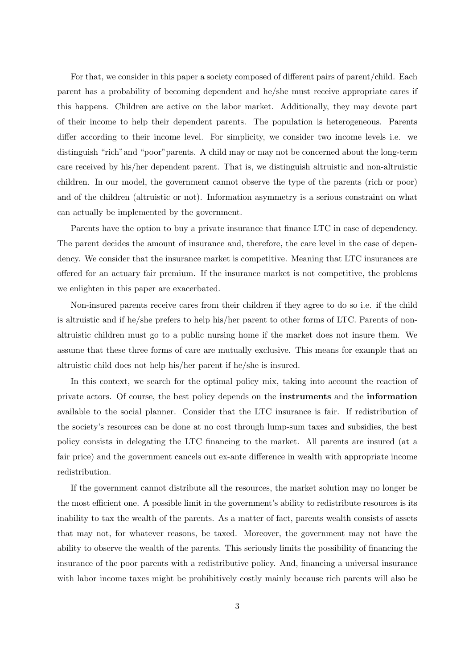For that, we consider in this paper a society composed of different pairs of parent/child. Each parent has a probability of becoming dependent and he/she must receive appropriate cares if this happens. Children are active on the labor market. Additionally, they may devote part of their income to help their dependent parents. The population is heterogeneous. Parents differ according to their income level. For simplicity, we consider two income levels i.e. we distinguish "rich"and "poor"parents. A child may or may not be concerned about the long-term care received by his/her dependent parent. That is, we distinguish altruistic and non-altruistic children. In our model, the government cannot observe the type of the parents (rich or poor) and of the children (altruistic or not). Information asymmetry is a serious constraint on what can actually be implemented by the government.

Parents have the option to buy a private insurance that finance LTC in case of dependency. The parent decides the amount of insurance and, therefore, the care level in the case of dependency. We consider that the insurance market is competitive. Meaning that LTC insurances are offered for an actuary fair premium. If the insurance market is not competitive, the problems we enlighten in this paper are exacerbated.

Non-insured parents receive cares from their children if they agree to do so i.e. if the child is altruistic and if he/she prefers to help his/her parent to other forms of LTC. Parents of nonaltruistic children must go to a public nursing home if the market does not insure them. We assume that these three forms of care are mutually exclusive. This means for example that an altruistic child does not help his/her parent if he/she is insured.

In this context, we search for the optimal policy mix, taking into account the reaction of private actors. Of course, the best policy depends on the instruments and the information available to the social planner. Consider that the LTC insurance is fair. If redistribution of the society's resources can be done at no cost through lump-sum taxes and subsidies, the best policy consists in delegating the LTC financing to the market. All parents are insured (at a fair price) and the government cancels out ex-ante difference in wealth with appropriate income redistribution.

If the government cannot distribute all the resources, the market solution may no longer be the most efficient one. A possible limit in the government's ability to redistribute resources is its inability to tax the wealth of the parents. As a matter of fact, parents wealth consists of assets that may not, for whatever reasons, be taxed. Moreover, the government may not have the ability to observe the wealth of the parents. This seriously limits the possibility of financing the insurance of the poor parents with a redistributive policy. And, financing a universal insurance with labor income taxes might be prohibitively costly mainly because rich parents will also be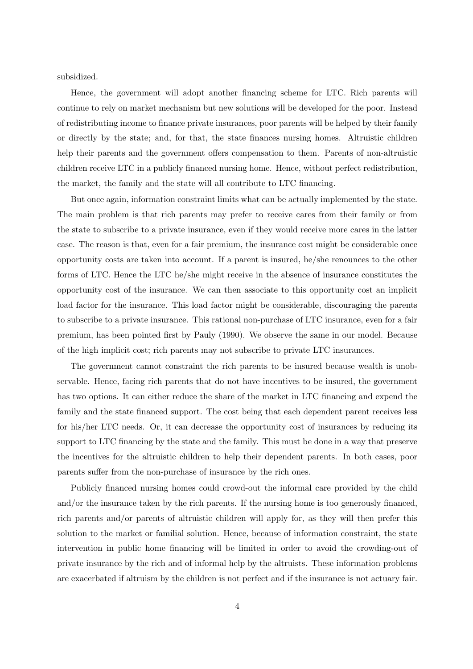subsidized.

Hence, the government will adopt another financing scheme for LTC. Rich parents will continue to rely on market mechanism but new solutions will be developed for the poor. Instead of redistributing income to finance private insurances, poor parents will be helped by their family or directly by the state; and, for that, the state finances nursing homes. Altruistic children help their parents and the government offers compensation to them. Parents of non-altruistic children receive LTC in a publicly financed nursing home. Hence, without perfect redistribution, the market, the family and the state will all contribute to LTC financing.

But once again, information constraint limits what can be actually implemented by the state. The main problem is that rich parents may prefer to receive cares from their family or from the state to subscribe to a private insurance, even if they would receive more cares in the latter case. The reason is that, even for a fair premium, the insurance cost might be considerable once opportunity costs are taken into account. If a parent is insured, he/she renounces to the other forms of LTC. Hence the LTC he/she might receive in the absence of insurance constitutes the opportunity cost of the insurance. We can then associate to this opportunity cost an implicit load factor for the insurance. This load factor might be considerable, discouraging the parents to subscribe to a private insurance. This rational non-purchase of LTC insurance, even for a fair premium, has been pointed first by Pauly (1990). We observe the same in our model. Because of the high implicit cost; rich parents may not subscribe to private LTC insurances.

The government cannot constraint the rich parents to be insured because wealth is unobservable. Hence, facing rich parents that do not have incentives to be insured, the government has two options. It can either reduce the share of the market in LTC financing and expend the family and the state financed support. The cost being that each dependent parent receives less for his/her LTC needs. Or, it can decrease the opportunity cost of insurances by reducing its support to LTC financing by the state and the family. This must be done in a way that preserve the incentives for the altruistic children to help their dependent parents. In both cases, poor parents suffer from the non-purchase of insurance by the rich ones.

Publicly financed nursing homes could crowd-out the informal care provided by the child and/or the insurance taken by the rich parents. If the nursing home is too generously financed, rich parents and/or parents of altruistic children will apply for, as they will then prefer this solution to the market or familial solution. Hence, because of information constraint, the state intervention in public home financing will be limited in order to avoid the crowding-out of private insurance by the rich and of informal help by the altruists. These information problems are exacerbated if altruism by the children is not perfect and if the insurance is not actuary fair.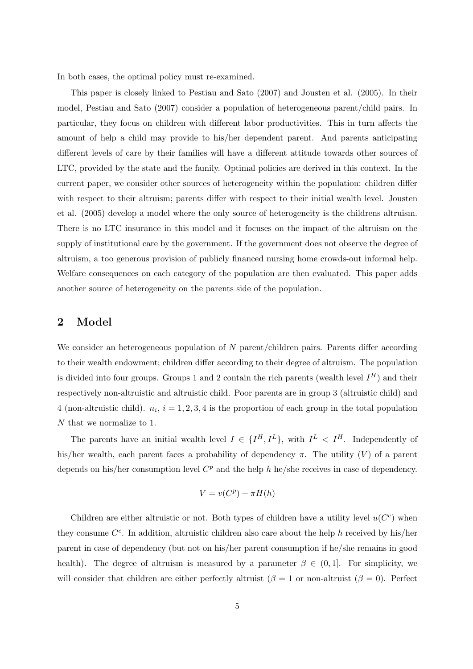In both cases, the optimal policy must re-examined.

This paper is closely linked to Pestiau and Sato (2007) and Jousten et al. (2005). In their model, Pestiau and Sato (2007) consider a population of heterogeneous parent/child pairs. In particular, they focus on children with different labor productivities. This in turn affects the amount of help a child may provide to his/her dependent parent. And parents anticipating different levels of care by their families will have a different attitude towards other sources of LTC, provided by the state and the family. Optimal policies are derived in this context. In the current paper, we consider other sources of heterogeneity within the population: children differ with respect to their altruism; parents differ with respect to their initial wealth level. Jousten et al. (2005) develop a model where the only source of heterogeneity is the childrens altruism. There is no LTC insurance in this model and it focuses on the impact of the altruism on the supply of institutional care by the government. If the government does not observe the degree of altruism, a too generous provision of publicly financed nursing home crowds-out informal help. Welfare consequences on each category of the population are then evaluated. This paper adds another source of heterogeneity on the parents side of the population.

### 2 Model

We consider an heterogeneous population of  $N$  parent/children pairs. Parents differ according to their wealth endowment; children differ according to their degree of altruism. The population is divided into four groups. Groups 1 and 2 contain the rich parents (wealth level  $I^H$ ) and their respectively non-altruistic and altruistic child. Poor parents are in group 3 (altruistic child) and 4 (non-altruistic child).  $n_i$ ,  $i = 1, 2, 3, 4$  is the proportion of each group in the total population N that we normalize to 1.

The parents have an initial wealth level  $I \in \{I^H, I^L\}$ , with  $I^L < I^H$ . Independently of his/her wealth, each parent faces a probability of dependency  $\pi$ . The utility (V) of a parent depends on his/her consumption level  $C<sup>p</sup>$  and the help h he/she receives in case of dependency.

$$
V = v(C^p) + \pi H(h)
$$

Children are either altruistic or not. Both types of children have a utility level  $u(C<sup>c</sup>)$  when they consume  $C^c$ . In addition, altruistic children also care about the help h received by his/her parent in case of dependency (but not on his/her parent consumption if he/she remains in good health). The degree of altruism is measured by a parameter  $\beta \in (0,1]$ . For simplicity, we will consider that children are either perfectly altruist ( $\beta = 1$  or non-altruist ( $\beta = 0$ ). Perfect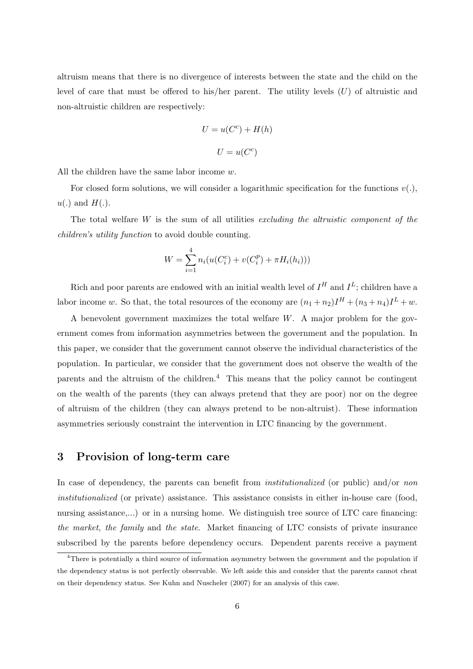altruism means that there is no divergence of interests between the state and the child on the level of care that must be offered to his/her parent. The utility levels  $(U)$  of altruistic and non-altruistic children are respectively:

$$
U = u(Cc) + H(h)
$$

$$
U = u(Cc)
$$

All the children have the same labor income  $w$ .

For closed form solutions, we will consider a logarithmic specification for the functions  $v(.)$ ,  $u(.)$  and  $H(.)$ .

The total welfare  $W$  is the sum of all utilities excluding the altruistic component of the children's utility function to avoid double counting.

$$
W = \sum_{i=1}^{4} n_i (u(C_i^c) + v(C_i^p) + \pi H_i(h_i)))
$$

Rich and poor parents are endowed with an initial wealth level of  $I^H$  and  $I^L$ ; children have a labor income w. So that, the total resources of the economy are  $(n_1 + n_2)I^H + (n_3 + n_4)I^L + w$ .

A benevolent government maximizes the total welfare  $W$ . A major problem for the government comes from information asymmetries between the government and the population. In this paper, we consider that the government cannot observe the individual characteristics of the population. In particular, we consider that the government does not observe the wealth of the parents and the altruism of the children.<sup>4</sup> This means that the policy cannot be contingent on the wealth of the parents (they can always pretend that they are poor) nor on the degree of altruism of the children (they can always pretend to be non-altruist). These information asymmetries seriously constraint the intervention in LTC financing by the government.

# 3 Provision of long-term care

In case of dependency, the parents can benefit from *institutionalized* (or public) and/or non institutionalized (or private) assistance. This assistance consists in either in-house care (food, nursing assistance,...) or in a nursing home. We distinguish tree source of LTC care financing: the market, the family and the state. Market financing of LTC consists of private insurance subscribed by the parents before dependency occurs. Dependent parents receive a payment

<sup>&</sup>lt;sup>4</sup>There is potentially a third source of information asymmetry between the government and the population if the dependency status is not perfectly observable. We left aside this and consider that the parents cannot cheat on their dependency status. See Kuhn and Nuscheler (2007) for an analysis of this case.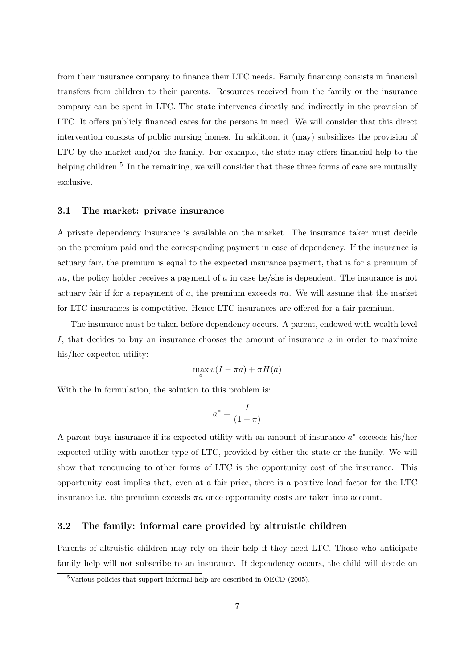from their insurance company to finance their LTC needs. Family financing consists in financial transfers from children to their parents. Resources received from the family or the insurance company can be spent in LTC. The state intervenes directly and indirectly in the provision of LTC. It offers publicly financed cares for the persons in need. We will consider that this direct intervention consists of public nursing homes. In addition, it (may) subsidizes the provision of LTC by the market and/or the family. For example, the state may offers financial help to the helping children.<sup>5</sup> In the remaining, we will consider that these three forms of care are mutually exclusive.

#### 3.1 The market: private insurance

A private dependency insurance is available on the market. The insurance taker must decide on the premium paid and the corresponding payment in case of dependency. If the insurance is actuary fair, the premium is equal to the expected insurance payment, that is for a premium of  $\pi a$ , the policy holder receives a payment of a in case he/she is dependent. The insurance is not actuary fair if for a repayment of a, the premium exceeds  $\pi a$ . We will assume that the market for LTC insurances is competitive. Hence LTC insurances are offered for a fair premium.

The insurance must be taken before dependency occurs. A parent, endowed with wealth level I, that decides to buy an insurance chooses the amount of insurance a in order to maximize his/her expected utility:

$$
\max_{a} v(I - \pi a) + \pi H(a)
$$

With the ln formulation, the solution to this problem is:

$$
a^* = \frac{I}{(1+\pi)}
$$

A parent buys insurance if its expected utility with an amount of insurance  $a^*$  exceeds his/her expected utility with another type of LTC, provided by either the state or the family. We will show that renouncing to other forms of LTC is the opportunity cost of the insurance. This opportunity cost implies that, even at a fair price, there is a positive load factor for the LTC insurance i.e. the premium exceeds  $\pi a$  once opportunity costs are taken into account.

### 3.2 The family: informal care provided by altruistic children

Parents of altruistic children may rely on their help if they need LTC. Those who anticipate family help will not subscribe to an insurance. If dependency occurs, the child will decide on

 $5$ Various policies that support informal help are described in OECD (2005).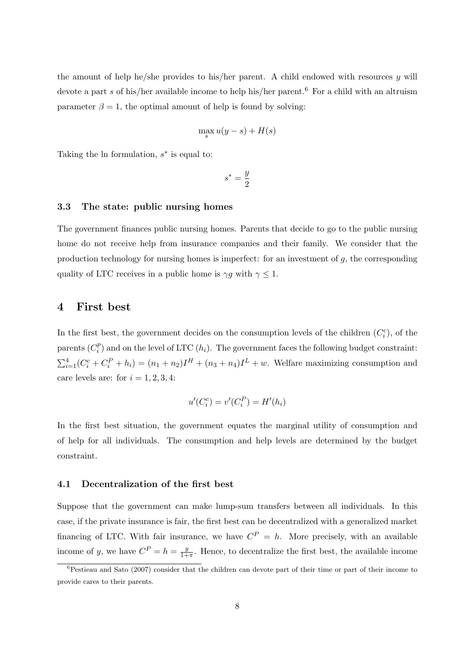the amount of help he/she provides to his/her parent. A child endowed with resources  $\gamma$  will devote a part s of his/her available income to help his/her parent.<sup>6</sup> For a child with an altruism parameter  $\beta = 1$ , the optimal amount of help is found by solving:

$$
\max_{s} u(y-s) + H(s)
$$

Taking the ln formulation,  $s^*$  is equal to:

$$
s^*=\frac{y}{2}
$$

### 3.3 The state: public nursing homes

The government finances public nursing homes. Parents that decide to go to the public nursing home do not receive help from insurance companies and their family. We consider that the production technology for nursing homes is imperfect: for an investment of  $g$ , the corresponding quality of LTC receives in a public home is  $\gamma g$  with  $\gamma \leq 1$ .

### 4 First best

In the first best, the government decides on the consumption levels of the children  $(C_i^c)$ , of the parents  $(C_i^p)$  $\binom{p}{i}$  and on the level of LTC  $(h_i)$ . The government faces the following budget constraint:  $\sum_{i=1}^{4} (C_i^c + C_i^P + h_i) = (n_1 + n_2)I^H + (n_3 + n_4)I^L + w$ . Welfare maximizing consumption and care levels are: for  $i = 1, 2, 3, 4$ :

$$
u'(C_i^c) = v'(C_i^P) = H'(h_i)
$$

In the first best situation, the government equates the marginal utility of consumption and of help for all individuals. The consumption and help levels are determined by the budget constraint.

#### 4.1 Decentralization of the first best

Suppose that the government can make lump-sum transfers between all individuals. In this case, if the private insurance is fair, the first best can be decentralized with a generalized market financing of LTC. With fair insurance, we have  $C^P = h$ . More precisely, with an available income of y, we have  $C^P = h = \frac{y}{1+y}$  $\frac{y}{1+\pi}$ . Hence, to decentralize the first best, the available income

 ${}^{6}$ Pestieau and Sato (2007) consider that the children can devote part of their time or part of their income to provide cares to their parents.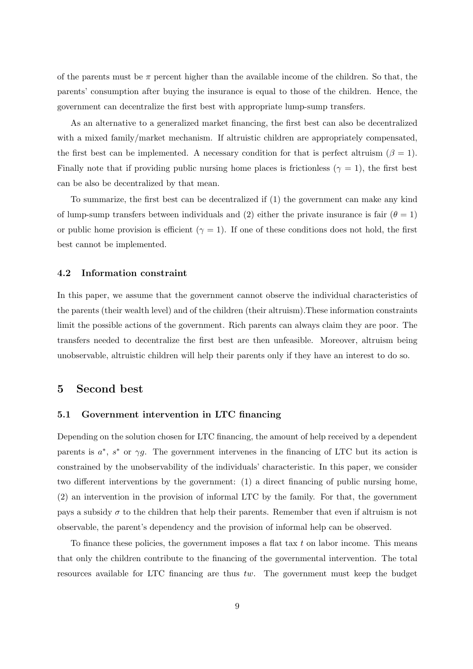of the parents must be  $\pi$  percent higher than the available income of the children. So that, the parents' consumption after buying the insurance is equal to those of the children. Hence, the government can decentralize the first best with appropriate lump-sump transfers.

As an alternative to a generalized market financing, the first best can also be decentralized with a mixed family/market mechanism. If altruistic children are appropriately compensated, the first best can be implemented. A necessary condition for that is perfect altruism ( $\beta = 1$ ). Finally note that if providing public nursing home places is frictionless ( $\gamma = 1$ ), the first best can be also be decentralized by that mean.

To summarize, the first best can be decentralized if (1) the government can make any kind of lump-sump transfers between individuals and (2) either the private insurance is fair ( $\theta = 1$ ) or public home provision is efficient ( $\gamma = 1$ ). If one of these conditions does not hold, the first best cannot be implemented.

#### 4.2 Information constraint

In this paper, we assume that the government cannot observe the individual characteristics of the parents (their wealth level) and of the children (their altruism).These information constraints limit the possible actions of the government. Rich parents can always claim they are poor. The transfers needed to decentralize the first best are then unfeasible. Moreover, altruism being unobservable, altruistic children will help their parents only if they have an interest to do so.

### 5 Second best

### 5.1 Government intervention in LTC financing

Depending on the solution chosen for LTC financing, the amount of help received by a dependent parents is  $a^*$ ,  $s^*$  or  $\gamma g$ . The government intervenes in the financing of LTC but its action is constrained by the unobservability of the individuals' characteristic. In this paper, we consider two different interventions by the government: (1) a direct financing of public nursing home, (2) an intervention in the provision of informal LTC by the family. For that, the government pays a subsidy  $\sigma$  to the children that help their parents. Remember that even if altruism is not observable, the parent's dependency and the provision of informal help can be observed.

To finance these policies, the government imposes a flat tax  $t$  on labor income. This means that only the children contribute to the financing of the governmental intervention. The total resources available for LTC financing are thus tw. The government must keep the budget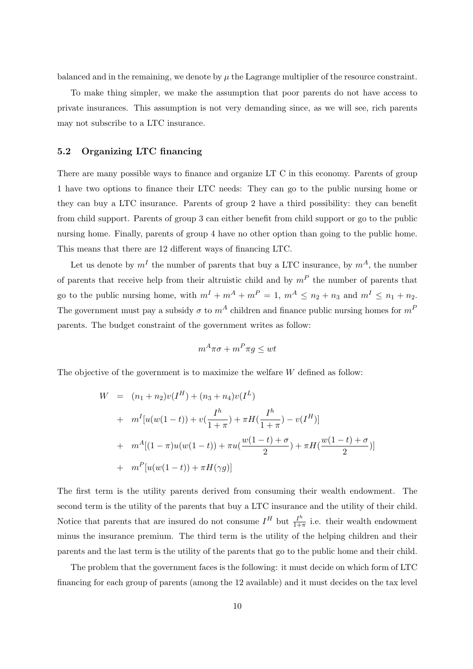balanced and in the remaining, we denote by  $\mu$  the Lagrange multiplier of the resource constraint.

To make thing simpler, we make the assumption that poor parents do not have access to private insurances. This assumption is not very demanding since, as we will see, rich parents may not subscribe to a LTC insurance.

### 5.2 Organizing LTC financing

There are many possible ways to finance and organize LT C in this economy. Parents of group 1 have two options to finance their LTC needs: They can go to the public nursing home or they can buy a LTC insurance. Parents of group 2 have a third possibility: they can benefit from child support. Parents of group 3 can either benefit from child support or go to the public nursing home. Finally, parents of group 4 have no other option than going to the public home. This means that there are 12 different ways of financing LTC.

Let us denote by  $m<sup>I</sup>$  the number of parents that buy a LTC insurance, by  $m<sup>A</sup>$ , the number of parents that receive help from their altruistic child and by  $m<sup>P</sup>$  the number of parents that go to the public nursing home, with  $m^I + m^A + m^P = 1$ ,  $m^A \le n_2 + n_3$  and  $m^I \le n_1 + n_2$ . The government must pay a subsidy  $\sigma$  to  $m^A$  children and finance public nursing homes for  $m^P$ parents. The budget constraint of the government writes as follow:

$$
m^A \pi \sigma + m^P \pi g \le wt
$$

The objective of the government is to maximize the welfare W defined as follow:

$$
W = (n_1 + n_2)v(I^H) + (n_3 + n_4)v(I^L)
$$
  
+ 
$$
m^I[u(w(1-t)) + v(\frac{I^h}{1+\pi}) + \pi H(\frac{I^h}{1+\pi}) - v(I^H)]
$$
  
+ 
$$
m^A[(1-\pi)u(w(1-t)) + \pi u(\frac{w(1-t) + \sigma}{2}) + \pi H(\frac{w(1-t) + \sigma}{2})]
$$
  
+ 
$$
m^P[u(w(1-t)) + \pi H(\gamma g)]
$$

The first term is the utility parents derived from consuming their wealth endowment. The second term is the utility of the parents that buy a LTC insurance and the utility of their child. Notice that parents that are insured do not consume  $I^H$  but  $\frac{I^h}{1+h}$  $\frac{I''}{1+\pi}$  i.e. their wealth endowment minus the insurance premium. The third term is the utility of the helping children and their parents and the last term is the utility of the parents that go to the public home and their child.

The problem that the government faces is the following: it must decide on which form of LTC financing for each group of parents (among the 12 available) and it must decides on the tax level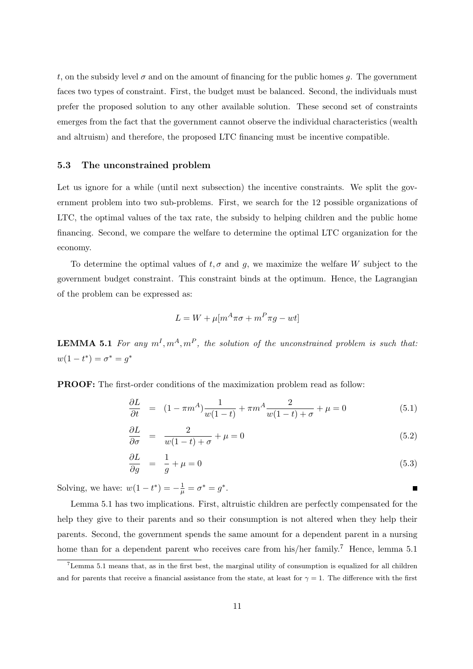t, on the subsidy level  $\sigma$  and on the amount of financing for the public homes q. The government faces two types of constraint. First, the budget must be balanced. Second, the individuals must prefer the proposed solution to any other available solution. These second set of constraints emerges from the fact that the government cannot observe the individual characteristics (wealth and altruism) and therefore, the proposed LTC financing must be incentive compatible.

### 5.3 The unconstrained problem

Let us ignore for a while (until next subsection) the incentive constraints. We split the government problem into two sub-problems. First, we search for the 12 possible organizations of LTC, the optimal values of the tax rate, the subsidy to helping children and the public home financing. Second, we compare the welfare to determine the optimal LTC organization for the economy.

To determine the optimal values of  $t, \sigma$  and g, we maximize the welfare W subject to the government budget constraint. This constraint binds at the optimum. Hence, the Lagrangian of the problem can be expressed as:

$$
L = W + \mu [m^A \pi \sigma + m^P \pi g - wt]
$$

**LEMMA 5.1** For any  $m^I, m^A, m^P$ , the solution of the unconstrained problem is such that:  $w(1-t^*) = \sigma^* = g^*$ 

PROOF: The first-order conditions of the maximization problem read as follow:

$$
\frac{\partial L}{\partial t} = (1 - \pi m^A) \frac{1}{w(1 - t)} + \pi m^A \frac{2}{w(1 - t) + \sigma} + \mu = 0 \tag{5.1}
$$

$$
\frac{\partial L}{\partial \sigma} = \frac{2}{w(1-t) + \sigma} + \mu = 0 \tag{5.2}
$$

$$
\frac{\partial L}{\partial g} = \frac{1}{g} + \mu = 0 \tag{5.3}
$$

Solving, we have:  $w(1 - t^*) = -\frac{1}{\mu} = \sigma^* = g^*$ .

Lemma 5.1 has two implications. First, altruistic children are perfectly compensated for the help they give to their parents and so their consumption is not altered when they help their parents. Second, the government spends the same amount for a dependent parent in a nursing home than for a dependent parent who receives care from his/her family.<sup>7</sup> Hence, lemma 5.1

<sup>7</sup>Lemma 5.1 means that, as in the first best, the marginal utility of consumption is equalized for all children and for parents that receive a financial assistance from the state, at least for  $\gamma = 1$ . The difference with the first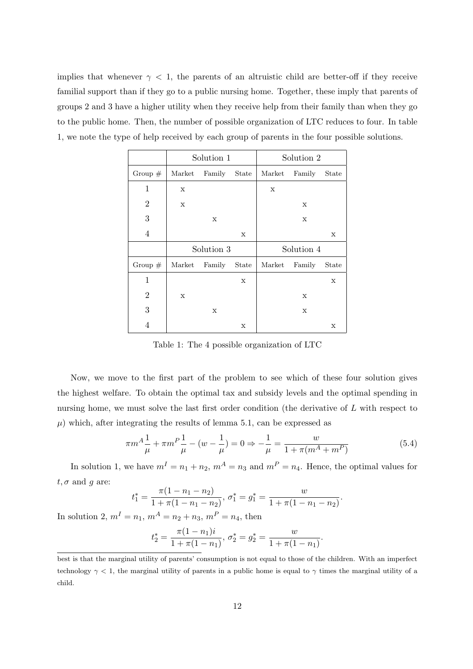implies that whenever  $\gamma$  < 1, the parents of an altruistic child are better-off if they receive familial support than if they go to a public nursing home. Together, these imply that parents of groups 2 and 3 have a higher utility when they receive help from their family than when they go to the public home. Then, the number of possible organization of LTC reduces to four. In table 1, we note the type of help received by each group of parents in the four possible solutions.

|                  | Solution 1 |             |              | Solution 2  |             |             |
|------------------|------------|-------------|--------------|-------------|-------------|-------------|
| Group $#$        | Market     | Family      | <b>State</b> | Market      | Family      | State       |
| $\mathbf 1$      | X          |             |              | $\mathbf X$ |             |             |
| $\overline{2}$   | X          |             |              |             | $\mathbf X$ |             |
| $\boldsymbol{3}$ |            | $\mathbf X$ |              |             | X           |             |
| 4                |            |             | X            |             |             | $\mathbf X$ |
|                  |            |             |              |             |             |             |
|                  |            | Solution 3  |              |             | Solution 4  |             |
| Group $#$        | Market     | Family      | <b>State</b> | Market      | Family      | State       |
| $\mathbf 1$      |            |             | X            |             |             | $\mathbf X$ |
| 2                | X          |             |              |             | X           |             |
| 3                |            | $\mathbf X$ |              |             | $\mathbf X$ |             |

Table 1: The 4 possible organization of LTC

Now, we move to the first part of the problem to see which of these four solution gives the highest welfare. To obtain the optimal tax and subsidy levels and the optimal spending in nursing home, we must solve the last first order condition (the derivative of L with respect to  $\mu$ ) which, after integrating the results of lemma 5.1, can be expressed as

$$
\pi m^A \frac{1}{\mu} + \pi m^P \frac{1}{\mu} - (w - \frac{1}{\mu}) = 0 \Rightarrow -\frac{1}{\mu} = \frac{w}{1 + \pi (m^A + m^P)}
$$
(5.4)

In solution 1, we have  $m^I = n_1 + n_2$ ,  $m^A = n_3$  and  $m^P = n_4$ . Hence, the optimal values for  $t, \sigma$  and g are:

$$
t_1^* = \frac{\pi(1 - n_1 - n_2)}{1 + \pi(1 - n_1 - n_2)}, \ \sigma_1^* = g_1^* = \frac{w}{1 + \pi(1 - n_1 - n_2)}.
$$

In solution 2,  $m^I = n_1$ ,  $m^A = n_2 + n_3$ ,  $m^P = n_4$ , then

$$
t_2^* = \frac{\pi (1 - n_1)i}{1 + \pi (1 - n_1)}, \ \sigma_2^* = g_2^* = \frac{w}{1 + \pi (1 - n_1)}.
$$

best is that the marginal utility of parents' consumption is not equal to those of the children. With an imperfect technology  $\gamma < 1$ , the marginal utility of parents in a public home is equal to  $\gamma$  times the marginal utility of a child.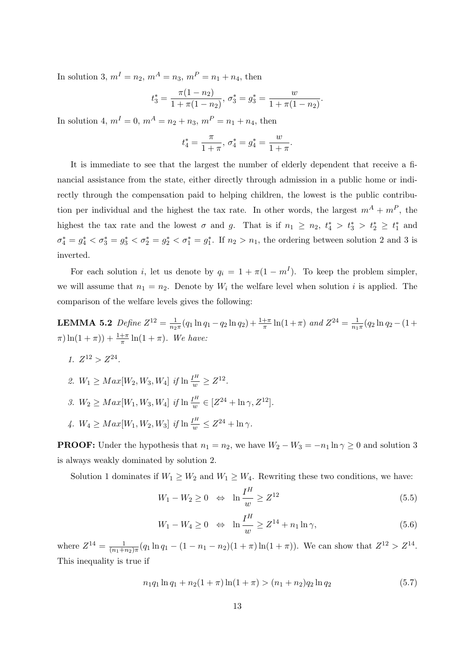In solution 3,  $m^I = n_2$ ,  $m^A = n_3$ ,  $m^P = n_1 + n_4$ , then

$$
t_3^* = \frac{\pi(1 - n_2)}{1 + \pi(1 - n_2)}, \ \sigma_3^* = g_3^* = \frac{w}{1 + \pi(1 - n_2)}.
$$

In solution 4,  $m^I = 0$ ,  $m^A = n_2 + n_3$ ,  $m^P = n_1 + n_4$ , then

$$
t_4^* = \frac{\pi}{1+\pi}, \ \sigma_4^* = g_4^* = \frac{w}{1+\pi}.
$$

It is immediate to see that the largest the number of elderly dependent that receive a financial assistance from the state, either directly through admission in a public home or indirectly through the compensation paid to helping children, the lowest is the public contribution per individual and the highest the tax rate. In other words, the largest  $m^A + m^P$ , the highest the tax rate and the lowest  $\sigma$  and  $g$ . That is if  $n_1 \geq n_2$ ,  $t_4^* > t_3^* > t_2^* \geq t_1^*$  and  $\sigma_4^* = g_4^* < \sigma_3^* = g_3^* < \sigma_2^* = g_2^* < \sigma_1^* = g_1^*$ . If  $n_2 > n_1$ , the ordering between solution 2 and 3 is inverted.

For each solution *i*, let us denote by  $q_i = 1 + \pi(1 - m^I)$ . To keep the problem simpler, we will assume that  $n_1 = n_2$ . Denote by  $W_i$  the welfare level when solution i is applied. The comparison of the welfare levels gives the following:

**LEMMA 5.2** Define  $Z^{12} = \frac{1}{n_2}$  $\frac{1}{n_2\pi}(q_1\ln q_1 - q_2\ln q_2) + \frac{1+\pi}{\pi}\ln(1+\pi)$  and  $Z^{24} = \frac{1}{n_1}$  $\frac{1}{n_1\pi}(q_2\ln q_2 - (1+\$  $\pi(\ln(1+\pi)) + \frac{1+\pi}{\pi} \ln(1+\pi)$ . We have:

- 1.  $Z^{12} > Z^{24}$ .
- 2.  $W_1 \geq Max[W_2, W_3, W_4]$  if  $\ln \frac{I^H}{w} \geq Z^{12}$ .
- 3.  $W_2 \geq Max[W_1, W_3, W_4]$  if  $\ln \frac{I^H}{w} \in [Z^{24} + \ln \gamma, Z^{12}]$ .
- 4.  $W_4 \geq Max[W_1, W_2, W_3]$  if  $\ln \frac{I^H}{w} \leq Z^{24} + \ln \gamma$ .

**PROOF:** Under the hypothesis that  $n_1 = n_2$ , we have  $W_2 - W_3 = -n_1 \ln \gamma \ge 0$  and solution 3 is always weakly dominated by solution 2.

Solution 1 dominates if  $W_1 \geq W_2$  and  $W_1 \geq W_4$ . Rewriting these two conditions, we have:

$$
W_1 - W_2 \ge 0 \quad \Leftrightarrow \quad \ln \frac{I^H}{w} \ge Z^{12} \tag{5.5}
$$

$$
W_1 - W_4 \ge 0 \quad \Leftrightarrow \quad \ln \frac{I^H}{w} \ge Z^{14} + n_1 \ln \gamma,
$$
\n
$$
(5.6)
$$

where  $Z^{14} = \frac{1}{(n_1 + 1)}$  $\frac{1}{(n_1+n_2)\pi}(q_1\ln q_1-(1-n_1-n_2)(1+\pi)\ln(1+\pi))$ . We can show that  $Z^{12} > Z^{14}$ . This inequality is true if

$$
n_1q_1\ln q_1 + n_2(1+\pi)\ln(1+\pi) > (n_1+n_2)q_2\ln q_2 \tag{5.7}
$$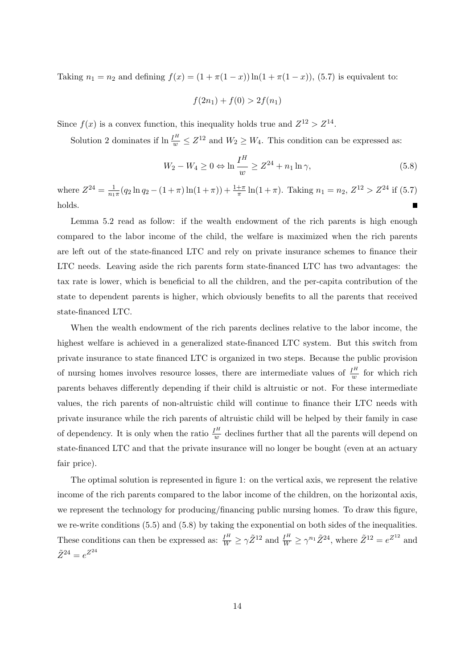Taking  $n_1 = n_2$  and defining  $f(x) = (1 + \pi(1 - x)) \ln(1 + \pi(1 - x))$ , (5.7) is equivalent to:

$$
f(2n_1) + f(0) > 2f(n_1)
$$

Since  $f(x)$  is a convex function, this inequality holds true and  $Z^{12} > Z^{14}$ .

Solution 2 dominates if  $\ln \frac{I^H}{w} \leq Z^{12}$  and  $W_2 \geq W_4$ . This condition can be expressed as:

$$
W_2 - W_4 \ge 0 \Leftrightarrow \ln \frac{I^H}{w} \ge Z^{24} + n_1 \ln \gamma,
$$
\n
$$
(5.8)
$$

where  $Z^{24} = \frac{1}{n_1}$  $\frac{1}{n_1\pi}(q_2\ln q_2 - (1+\pi)\ln(1+\pi)) + \frac{1+\pi}{\pi}\ln(1+\pi)$ . Taking  $n_1 = n_2$ ,  $Z^{12} > Z^{24}$  if (5.7) holds.

Lemma 5.2 read as follow: if the wealth endowment of the rich parents is high enough compared to the labor income of the child, the welfare is maximized when the rich parents are left out of the state-financed LTC and rely on private insurance schemes to finance their LTC needs. Leaving aside the rich parents form state-financed LTC has two advantages: the tax rate is lower, which is beneficial to all the children, and the per-capita contribution of the state to dependent parents is higher, which obviously benefits to all the parents that received state-financed LTC.

When the wealth endowment of the rich parents declines relative to the labor income, the highest welfare is achieved in a generalized state-financed LTC system. But this switch from private insurance to state financed LTC is organized in two steps. Because the public provision of nursing homes involves resource losses, there are intermediate values of  $\frac{I^H}{w}$  for which rich parents behaves differently depending if their child is altruistic or not. For these intermediate values, the rich parents of non-altruistic child will continue to finance their LTC needs with private insurance while the rich parents of altruistic child will be helped by their family in case of dependency. It is only when the ratio  $\frac{I^H}{w}$  declines further that all the parents will depend on state-financed LTC and that the private insurance will no longer be bought (even at an actuary fair price).

The optimal solution is represented in figure 1: on the vertical axis, we represent the relative income of the rich parents compared to the labor income of the children, on the horizontal axis, we represent the technology for producing/financing public nursing homes. To draw this figure, we re-write conditions (5.5) and (5.8) by taking the exponential on both sides of the inequalities. These conditions can then be expressed as:  $\frac{I^H}{W} \geq \gamma \tilde{Z}^{12}$  and  $\frac{I^H}{W} \geq \gamma^{n_1} \tilde{Z}^{24}$ , where  $\tilde{Z}^{12} = e^{Z^{12}}$  and  $\tilde{Z}^{24} = e^{Z^{24}}$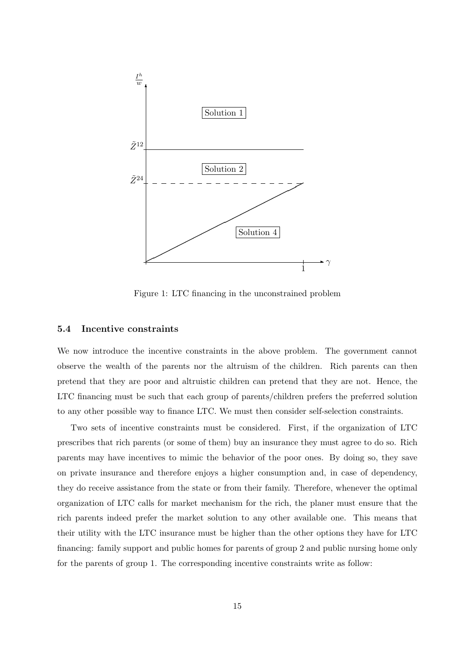

Figure 1: LTC financing in the unconstrained problem

### 5.4 Incentive constraints

We now introduce the incentive constraints in the above problem. The government cannot observe the wealth of the parents nor the altruism of the children. Rich parents can then pretend that they are poor and altruistic children can pretend that they are not. Hence, the LTC financing must be such that each group of parents/children prefers the preferred solution to any other possible way to finance LTC. We must then consider self-selection constraints.

Two sets of incentive constraints must be considered. First, if the organization of LTC prescribes that rich parents (or some of them) buy an insurance they must agree to do so. Rich parents may have incentives to mimic the behavior of the poor ones. By doing so, they save on private insurance and therefore enjoys a higher consumption and, in case of dependency, they do receive assistance from the state or from their family. Therefore, whenever the optimal organization of LTC calls for market mechanism for the rich, the planer must ensure that the rich parents indeed prefer the market solution to any other available one. This means that their utility with the LTC insurance must be higher than the other options they have for LTC financing: family support and public homes for parents of group 2 and public nursing home only for the parents of group 1. The corresponding incentive constraints write as follow: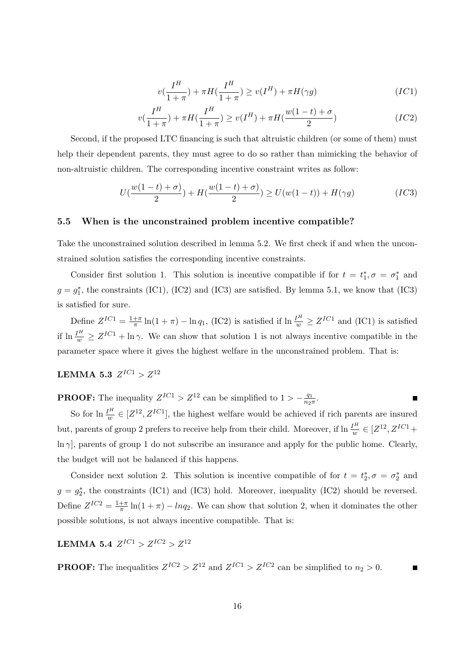$$
v\left(\frac{I^H}{1+\pi}\right) + \pi H\left(\frac{I^H}{1+\pi}\right) \ge v(I^H) + \pi H(\gamma g) \tag{IC1}
$$

$$
v\left(\frac{I^H}{1+\pi}\right) + \pi H\left(\frac{I^H}{1+\pi}\right) \ge v(I^H) + \pi H\left(\frac{w(1-t) + \sigma}{2}\right) \tag{IC2}
$$

Second, if the proposed LTC financing is such that altruistic children (or some of them) must help their dependent parents, they must agree to do so rather than mimicking the behavior of non-altruistic children. The corresponding incentive constraint writes as follow:

$$
U(\frac{w(1-t)+\sigma)}{2}) + H(\frac{w(1-t)+\sigma)}{2}) \ge U(w(1-t)) + H(\gamma g)
$$
 (IC3)

### 5.5 When is the unconstrained problem incentive compatible?

Take the unconstrained solution described in lemma 5.2. We first check if and when the unconstrained solution satisfies the corresponding incentive constraints.

Consider first solution 1. This solution is incentive compatible if for  $t = t_1^*, \sigma = \sigma_1^*$  and  $g = g_1^*$ , the constraints (IC1), (IC2) and (IC3) are satisfied. By lemma 5.1, we know that (IC3) is satisfied for sure.

Define  $Z^{IC1} = \frac{1+\pi}{\pi}$  $\frac{1}{\pi} \ln(1+\pi) - \ln q_1$ , (IC2) is satisfied if  $\ln \frac{I^H}{w} \ge Z^{IC1}$  and (IC1) is satisfied if  $\ln \frac{I^H}{w} \geq Z^{IC1} + \ln \gamma$ . We can show that solution 1 is not always incentive compatible in the parameter space where it gives the highest welfare in the unconstrained problem. That is:

### $\mathrm{LEMMA}$  5.3  $Z^{IC1}>Z^{12}$

**PROOF:** The inequality  $Z^{IC1} > Z^{12}$  can be simplified to  $1 > -\frac{q_1}{n_2}$  $\frac{q_1}{n_2\pi}$ .

So for  $\ln \frac{I^H}{w} \in [Z^{12}, Z^{IC1}]$ , the highest welfare would be achieved if rich parents are insured but, parents of group 2 prefers to receive help from their child. Moreover, if  $\ln \frac{I^H}{w} \in [Z^{12}, Z^{IC1} +$  $\ln \gamma$ , parents of group 1 do not subscribe an insurance and apply for the public home. Clearly, the budget will not be balanced if this happens.

Consider next solution 2. This solution is incentive compatible of for  $t = t_2^*, \sigma = \sigma_2^*$  and  $g = g_2^*$ , the constraints (IC1) and (IC3) hold. Moreover, inequality (IC2) should be reversed. Define  $Z^{IC2} = \frac{1+\pi}{\pi}$  $\frac{+\pi}{\pi} \ln(1+\pi) - \ln q_2$ . We can show that solution 2, when it dominates the other possible solutions, is not always incentive compatible. That is:

 ${\rm LEMMA}$  5.4  $\,Z^{IC1} > Z^{IC2} > Z^{12}$ 

**PROOF:** The inequalities  $Z^{IC2} > Z^{12}$  and  $Z^{IC1} > Z^{IC2}$  can be simplified to  $n_2 > 0$ .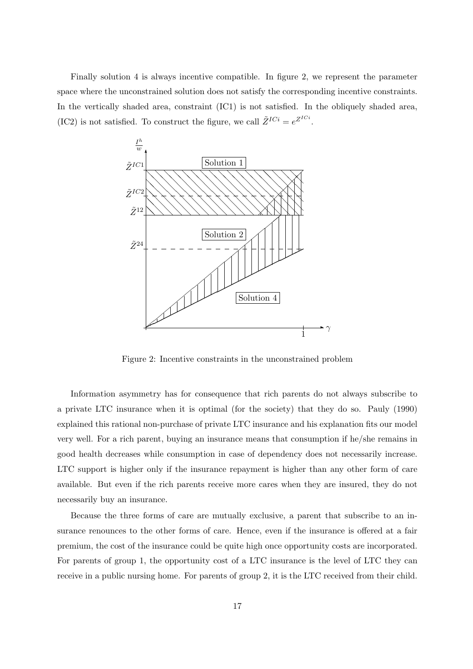Finally solution 4 is always incentive compatible. In figure 2, we represent the parameter space where the unconstrained solution does not satisfy the corresponding incentive constraints. In the vertically shaded area, constraint (IC1) is not satisfied. In the obliquely shaded area, (IC2) is not satisfied. To construct the figure, we call  $\tilde{Z}^{ICi} = e^{Z^{ICi}}$ .



Figure 2: Incentive constraints in the unconstrained problem

Information asymmetry has for consequence that rich parents do not always subscribe to a private LTC insurance when it is optimal (for the society) that they do so. Pauly (1990) explained this rational non-purchase of private LTC insurance and his explanation fits our model very well. For a rich parent, buying an insurance means that consumption if he/she remains in good health decreases while consumption in case of dependency does not necessarily increase. LTC support is higher only if the insurance repayment is higher than any other form of care available. But even if the rich parents receive more cares when they are insured, they do not necessarily buy an insurance.

Because the three forms of care are mutually exclusive, a parent that subscribe to an insurance renounces to the other forms of care. Hence, even if the insurance is offered at a fair premium, the cost of the insurance could be quite high once opportunity costs are incorporated. For parents of group 1, the opportunity cost of a LTC insurance is the level of LTC they can receive in a public nursing home. For parents of group 2, it is the LTC received from their child.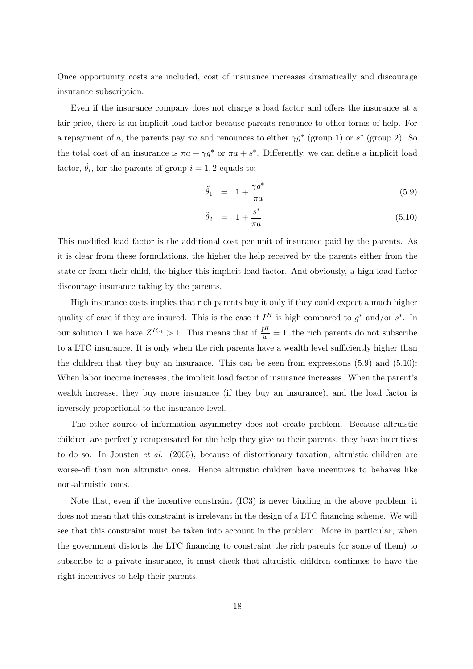Once opportunity costs are included, cost of insurance increases dramatically and discourage insurance subscription.

Even if the insurance company does not charge a load factor and offers the insurance at a fair price, there is an implicit load factor because parents renounce to other forms of help. For a repayment of a, the parents pay  $\pi a$  and renounces to either  $\gamma g^*$  (group 1) or  $s^*$  (group 2). So the total cost of an insurance is  $\pi a + \gamma g^*$  or  $\pi a + s^*$ . Differently, we can define a implicit load factor,  $\tilde{\theta}_i$ , for the parents of group  $i = 1, 2$  equals to:

$$
\tilde{\theta}_1 = 1 + \frac{\gamma g^*}{\pi a},\tag{5.9}
$$

$$
\tilde{\theta}_2 = 1 + \frac{s^*}{\pi a} \tag{5.10}
$$

This modified load factor is the additional cost per unit of insurance paid by the parents. As it is clear from these formulations, the higher the help received by the parents either from the state or from their child, the higher this implicit load factor. And obviously, a high load factor discourage insurance taking by the parents.

High insurance costs implies that rich parents buy it only if they could expect a much higher quality of care if they are insured. This is the case if  $I^H$  is high compared to  $g^*$  and/or  $s^*$ . In our solution 1 we have  $Z^{IC_1} > 1$ . This means that if  $\frac{I^H}{w} = 1$ , the rich parents do not subscribe to a LTC insurance. It is only when the rich parents have a wealth level sufficiently higher than the children that they buy an insurance. This can be seen from expressions (5.9) and (5.10): When labor income increases, the implicit load factor of insurance increases. When the parent's wealth increase, they buy more insurance (if they buy an insurance), and the load factor is inversely proportional to the insurance level.

The other source of information asymmetry does not create problem. Because altruistic children are perfectly compensated for the help they give to their parents, they have incentives to do so. In Jousten et al. (2005), because of distortionary taxation, altruistic children are worse-off than non altruistic ones. Hence altruistic children have incentives to behaves like non-altruistic ones.

Note that, even if the incentive constraint (IC3) is never binding in the above problem, it does not mean that this constraint is irrelevant in the design of a LTC financing scheme. We will see that this constraint must be taken into account in the problem. More in particular, when the government distorts the LTC financing to constraint the rich parents (or some of them) to subscribe to a private insurance, it must check that altruistic children continues to have the right incentives to help their parents.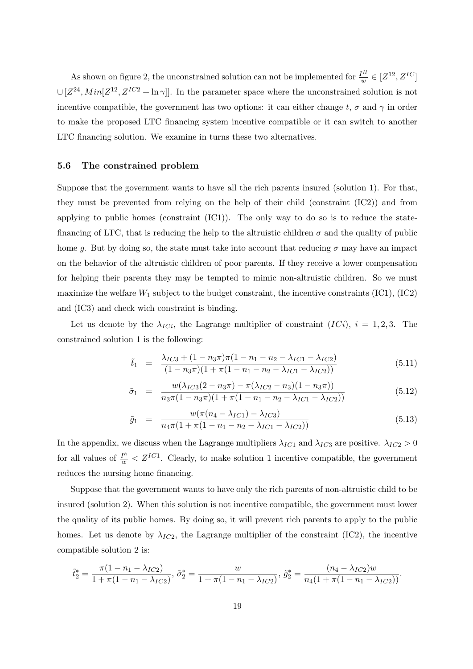As shown on figure 2, the unconstrained solution can not be implemented for  $\frac{I^H}{w} \in [Z^{12}, Z^{IC}]$  $\cup [Z^{24}, Min[Z^{12}, Z^{IC2} + \ln \gamma]]$ . In the parameter space where the unconstrained solution is not incentive compatible, the government has two options: it can either change t,  $\sigma$  and  $\gamma$  in order to make the proposed LTC financing system incentive compatible or it can switch to another LTC financing solution. We examine in turns these two alternatives.

### 5.6 The constrained problem

Suppose that the government wants to have all the rich parents insured (solution 1). For that, they must be prevented from relying on the help of their child (constraint (IC2)) and from applying to public homes (constraint (IC1)). The only way to do so is to reduce the statefinancing of LTC, that is reducing the help to the altruistic children  $\sigma$  and the quality of public home g. But by doing so, the state must take into account that reducing  $\sigma$  may have an impact on the behavior of the altruistic children of poor parents. If they receive a lower compensation for helping their parents they may be tempted to mimic non-altruistic children. So we must maximize the welfare  $W_1$  subject to the budget constraint, the incentive constraints (IC1), (IC2) and (IC3) and check wich constraint is binding.

Let us denote by the  $\lambda_{ICi}$ , the Lagrange multiplier of constraint  $(ICi)$ ,  $i = 1, 2, 3$ . The constrained solution 1 is the following:

$$
\tilde{t}_1 = \frac{\lambda_{IC3} + (1 - n_3 \pi) \pi (1 - n_1 - n_2 - \lambda_{IC1} - \lambda_{IC2})}{(1 - n_3 \pi) (1 + \pi (1 - n_1 - n_2 - \lambda_{IC1} - \lambda_{IC2}))}
$$
\n(5.11)

$$
\tilde{\sigma}_1 = \frac{w(\lambda_{IC3}(2 - n_3\pi) - \pi(\lambda_{IC2} - n_3)(1 - n_3\pi))}{n_3\pi(1 - n_3\pi)(1 + \pi(1 - n_1 - n_2 - \lambda_{IC1} - \lambda_{IC2}))}
$$
(5.12)

$$
\tilde{g}_1 = \frac{w(\pi(n_4 - \lambda_{IC1}) - \lambda_{IC3})}{n_4 \pi (1 + \pi(1 - n_1 - n_2 - \lambda_{IC1} - \lambda_{IC2}))}
$$
\n(5.13)

In the appendix, we discuss when the Lagrange multipliers  $\lambda_{IC1}$  and  $\lambda_{IC3}$  are positive.  $\lambda_{IC2} > 0$ for all values of  $\frac{I^h}{w} < Z^{IC1}$ . Clearly, to make solution 1 incentive compatible, the government reduces the nursing home financing.

Suppose that the government wants to have only the rich parents of non-altruistic child to be insured (solution 2). When this solution is not incentive compatible, the government must lower the quality of its public homes. By doing so, it will prevent rich parents to apply to the public homes. Let us denote by  $\lambda_{IC2}$ , the Lagrange multiplier of the constraint (IC2), the incentive compatible solution 2 is:

$$
\tilde{t}_2^* = \frac{\pi (1 - n_1 - \lambda_{IC2})}{1 + \pi (1 - n_1 - \lambda_{IC2})}, \, \tilde{\sigma}_2^* = \frac{w}{1 + \pi (1 - n_1 - \lambda_{IC2})}, \, \tilde{g}_2^* = \frac{(n_4 - \lambda_{IC2})w}{n_4 (1 + \pi (1 - n_1 - \lambda_{IC2}))}.
$$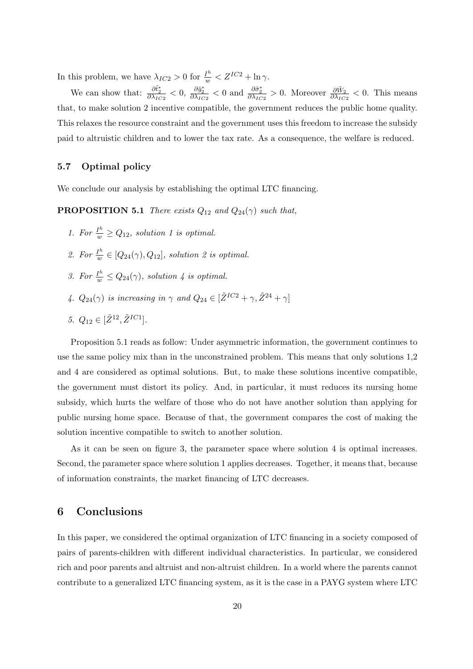In this problem, we have  $\lambda_{IC2} > 0$  for  $\frac{I^h}{w} < Z^{IC2} + \ln \gamma$ .

We can show that:  $\frac{\partial \tilde{t}_2^*}{\partial \lambda_{IC2}} < 0$ ,  $\frac{\partial \tilde{g}_2^*}{\partial \lambda_{IC2}} < 0$  and  $\frac{\partial \tilde{\sigma}_2^*}{\partial \lambda_{IC2}} > 0$ . Moreover  $\frac{\partial \tilde{W}_2}{\partial \lambda_{IC2}} < 0$ . This means that, to make solution 2 incentive compatible, the government reduces the public home quality. This relaxes the resource constraint and the government uses this freedom to increase the subsidy paid to altruistic children and to lower the tax rate. As a consequence, the welfare is reduced.

### 5.7 Optimal policy

We conclude our analysis by establishing the optimal LTC financing.

**PROPOSITION 5.1** There exists  $Q_{12}$  and  $Q_{24}(\gamma)$  such that,

- 1. For  $\frac{I^h}{w} \geq Q_{12}$ , solution 1 is optimal.
- 2. For  $\frac{I^h}{w}$  $\frac{I^n}{w} \in [Q_{24}(\gamma), Q_{12}],$  solution 2 is optimal.
- 3. For  $\frac{1}{w} \leq Q_{24}(\gamma)$ , solution 4 is optimal.
- 4.  $Q_{24}(\gamma)$  is increasing in  $\gamma$  and  $Q_{24} \in [\tilde{Z}^{IC2} + \gamma, \tilde{Z}^{24} + \gamma]$
- 5.  $Q_{12} \in [\tilde{Z}^{12}, \tilde{Z}^{IC1}].$

Proposition 5.1 reads as follow: Under asymmetric information, the government continues to use the same policy mix than in the unconstrained problem. This means that only solutions 1,2 and 4 are considered as optimal solutions. But, to make these solutions incentive compatible, the government must distort its policy. And, in particular, it must reduces its nursing home subsidy, which hurts the welfare of those who do not have another solution than applying for public nursing home space. Because of that, the government compares the cost of making the solution incentive compatible to switch to another solution.

As it can be seen on figure 3, the parameter space where solution 4 is optimal increases. Second, the parameter space where solution 1 applies decreases. Together, it means that, because of information constraints, the market financing of LTC decreases.

### 6 Conclusions

In this paper, we considered the optimal organization of LTC financing in a society composed of pairs of parents-children with different individual characteristics. In particular, we considered rich and poor parents and altruist and non-altruist children. In a world where the parents cannot contribute to a generalized LTC financing system, as it is the case in a PAYG system where LTC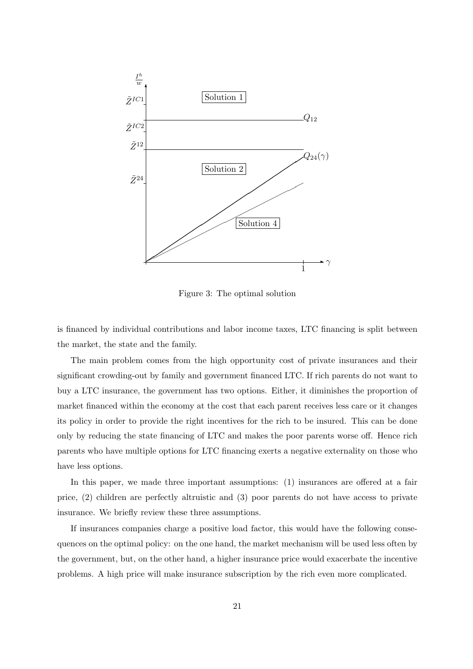

Figure 3: The optimal solution

is financed by individual contributions and labor income taxes, LTC financing is split between the market, the state and the family.

The main problem comes from the high opportunity cost of private insurances and their significant crowding-out by family and government financed LTC. If rich parents do not want to buy a LTC insurance, the government has two options. Either, it diminishes the proportion of market financed within the economy at the cost that each parent receives less care or it changes its policy in order to provide the right incentives for the rich to be insured. This can be done only by reducing the state financing of LTC and makes the poor parents worse off. Hence rich parents who have multiple options for LTC financing exerts a negative externality on those who have less options.

In this paper, we made three important assumptions: (1) insurances are offered at a fair price, (2) children are perfectly altruistic and (3) poor parents do not have access to private insurance. We briefly review these three assumptions.

If insurances companies charge a positive load factor, this would have the following consequences on the optimal policy: on the one hand, the market mechanism will be used less often by the government, but, on the other hand, a higher insurance price would exacerbate the incentive problems. A high price will make insurance subscription by the rich even more complicated.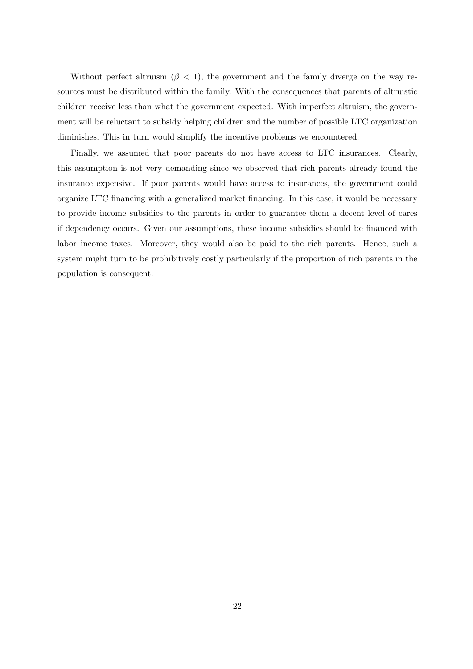Without perfect altruism  $(\beta < 1)$ , the government and the family diverge on the way resources must be distributed within the family. With the consequences that parents of altruistic children receive less than what the government expected. With imperfect altruism, the government will be reluctant to subsidy helping children and the number of possible LTC organization diminishes. This in turn would simplify the incentive problems we encountered.

Finally, we assumed that poor parents do not have access to LTC insurances. Clearly, this assumption is not very demanding since we observed that rich parents already found the insurance expensive. If poor parents would have access to insurances, the government could organize LTC financing with a generalized market financing. In this case, it would be necessary to provide income subsidies to the parents in order to guarantee them a decent level of cares if dependency occurs. Given our assumptions, these income subsidies should be financed with labor income taxes. Moreover, they would also be paid to the rich parents. Hence, such a system might turn to be prohibitively costly particularly if the proportion of rich parents in the population is consequent.